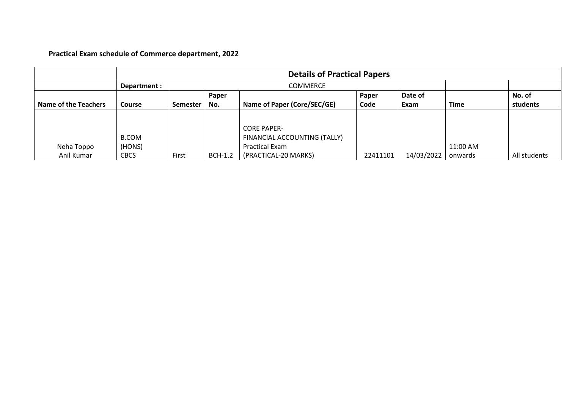## **Practical Exam schedule of Commerce department, 2022**

|                             |               | <b>Details of Practical Papers</b> |                |                              |          |            |             |              |
|-----------------------------|---------------|------------------------------------|----------------|------------------------------|----------|------------|-------------|--------------|
|                             | Department :  | COMMERCE                           |                |                              |          |            |             |              |
|                             |               |                                    | Paper          |                              | Paper    | Date of    |             | No. of       |
| <b>Name of the Teachers</b> | <b>Course</b> | <b>Semester</b>                    | No.            | Name of Paper (Core/SEC/GE)  | Code     | Exam       | <b>Time</b> | students     |
|                             |               |                                    |                |                              |          |            |             |              |
|                             |               |                                    |                | <b>CORE PAPER-</b>           |          |            |             |              |
|                             | <b>B.COM</b>  |                                    |                | FINANCIAL ACCOUNTING (TALLY) |          |            |             |              |
| Neha Toppo                  | (HONS)        |                                    |                | Practical Exam               |          |            | 11:00 AM    |              |
| Anil Kumar                  | <b>CBCS</b>   | First                              | <b>BCH-1.2</b> | (PRACTICAL-20 MARKS)         | 22411101 | 14/03/2022 | onwards     | All students |